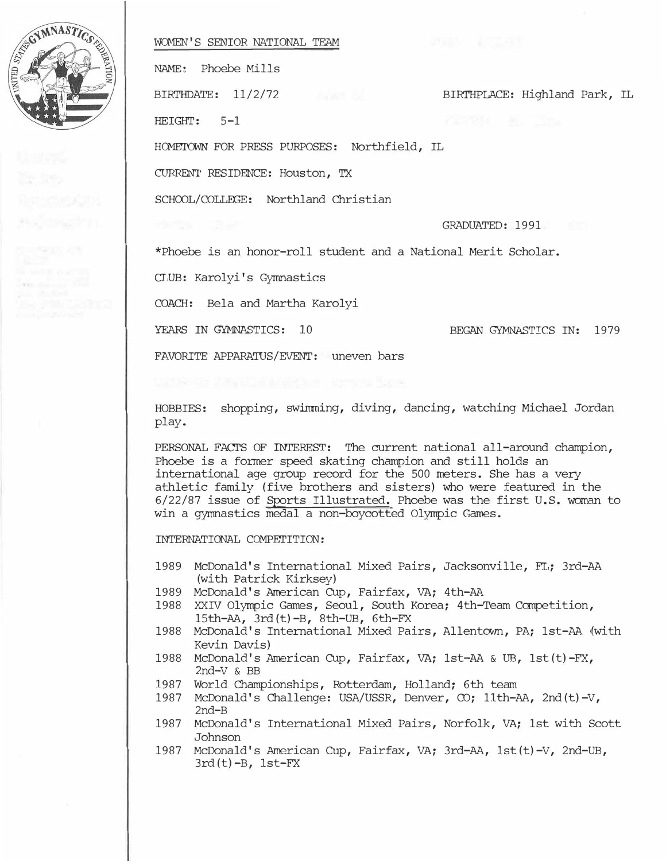

## WCMEN'S SENIOR NATIONAL TEAM

NAME: Phoebe Mills

BIRI'HPLACE: Highland Park, IL BIRTHDATE: 11/2/72

HEIGHT: 5-1

HOMETOWN FOR PRESS PURPOSES: Northfield, IL

CURRENT RESIDENCE: Houston, TX

SCHOOL/COLLEGE: Northland Christian

GRADUATED: 1991

\*Phoebe is an honor-roll student and a National Merit Scholar.

CLUB: Karolyi's Gyrrmastics

COACH: Bela and Martha Karolyi

YEARS IN GYMNASTICS: 10

BEGAN GYMNASTICS IN: 1979

FAVORITE APPARATUS/EVENT: uneven bars

HOBBIES: shopping, swirrming, diving, dancing, watching Michael Jordan play.

PERSONAL FACTS OF INTEREST: The current national all-around champion, Phoebe is a former speed skating champion and still holds an international age group record for the 500 meters. She has a very athletic family (five brothers and sisters) who were featured in the 6/22/87 issue of Sports Illustrated. Phoebe was the first U.S. woman to win a gymnastics medal a non-boycotted Olympic Games.

INTERNATIONAL COMPETITION:

- 1989 McDonald's International Mixed Pairs, Jacksonville, FL; 3rd-AA (with Patrick Kirksey)
- 1989 McDonald's American Cup, Fairfax, VA; 4th-AA
- 1988 XXIV Olympic Games, Seoul, South Korea; 4th-Team Competition, 15th-AA, 3rd(t)-B, 8th-UB, 6th-FX
- 1988 McDonald's International Mixed Pairs, Allentown, PA; 1st-AA {with Kevin Davis)
- 1988 McDonald's American Cup, Fairfax, VA; 1st-AA & UB, lst(t)-FX, 2nd-V & BB
- 1987 World Championships, Rotterdam, Holland; 6th team
- 1987 McDonald's Challenge: USA/USSR, Denver, CO; 11th-AA, 2nd(t)-V, 2nd-B
- 1987 McDonald's International Mixed Pairs, Norfolk, VA; 1st with Scott Johnson
- 1987 McDonald's American Cup, Fairfax, VA; 3rd-AA, lst(t)-V, 2nd-UB,  $3rd(t)-B$ ,  $1st-FX$